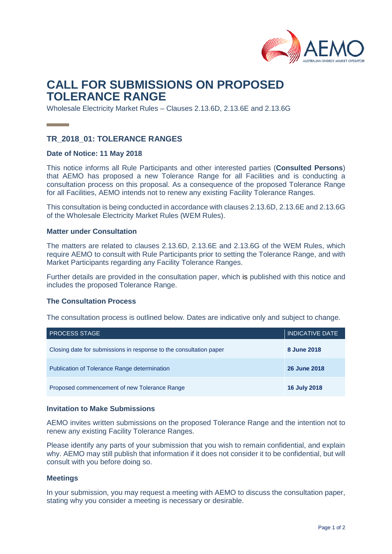

# **CALL FOR SUBMISSIONS ON PROPOSED TOLERANCE RANGE**

Wholesale Electricity Market Rules – Clauses 2.13.6D, 2.13.6E and 2.13.6G

## **TR\_2018\_01: TOLERANCE RANGES**

#### **Date of Notice: 11 May 2018**

This notice informs all Rule Participants and other interested parties (**Consulted Persons**) that AEMO has proposed a new Tolerance Range for all Facilities and is conducting a consultation process on this proposal. As a consequence of the proposed Tolerance Range for all Facilities, AEMO intends not to renew any existing Facility Tolerance Ranges.

This consultation is being conducted in accordance with clauses 2.13.6D, 2.13.6E and 2.13.6G of the Wholesale Electricity Market Rules (WEM Rules).

#### **Matter under Consultation**

The matters are related to clauses 2.13.6D, 2.13.6E and 2.13.6G of the WEM Rules, which require AEMO to consult with Rule Participants prior to setting the Tolerance Range, and with Market Participants regarding any Facility Tolerance Ranges.

Further details are provided in the consultation paper, which is published with this notice and includes the proposed Tolerance Range.

#### **The Consultation Process**

The consultation process is outlined below. Dates are indicative only and subject to change.

| <b>PROCESS STAGE</b>                                               | <b>INDICATIVE DATE</b> |
|--------------------------------------------------------------------|------------------------|
| Closing date for submissions in response to the consultation paper | 8 June 2018            |
| Publication of Tolerance Range determination                       | <b>26 June 2018</b>    |
| Proposed commencement of new Tolerance Range                       | <b>16 July 2018</b>    |

#### **Invitation to Make Submissions**

AEMO invites written submissions on the proposed Tolerance Range and the intention not to renew any existing Facility Tolerance Ranges.

Please identify any parts of your submission that you wish to remain confidential, and explain why. AEMO may still publish that information if it does not consider it to be confidential, but will consult with you before doing so.

#### **Meetings**

In your submission, you may request a meeting with AEMO to discuss the consultation paper, stating why you consider a meeting is necessary or desirable.